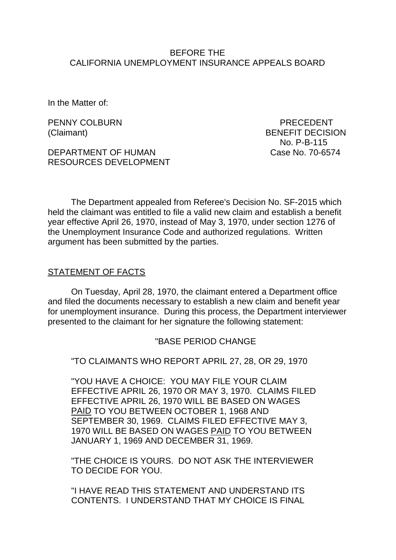### BEFORE THE CALIFORNIA UNEMPLOYMENT INSURANCE APPEALS BOARD

In the Matter of:

PENNY COLBURN PENNY COLBURN PRECEDENT

DEPARTMENT OF HUMAN Case No. 70-6574 RESOURCES DEVELOPMENT

(Claimant) BENEFIT DECISION No. P-B-115

The Department appealed from Referee's Decision No. SF-2015 which held the claimant was entitled to file a valid new claim and establish a benefit year effective April 26, 1970, instead of May 3, 1970, under section 1276 of the Unemployment Insurance Code and authorized regulations. Written argument has been submitted by the parties.

#### STATEMENT OF FACTS

On Tuesday, April 28, 1970, the claimant entered a Department office and filed the documents necessary to establish a new claim and benefit year for unemployment insurance. During this process, the Department interviewer presented to the claimant for her signature the following statement:

#### "BASE PERIOD CHANGE

"TO CLAIMANTS WHO REPORT APRIL 27, 28, OR 29, 1970

"YOU HAVE A CHOICE: YOU MAY FILE YOUR CLAIM EFFECTIVE APRIL 26, 1970 OR MAY 3, 1970. CLAIMS FILED EFFECTIVE APRIL 26, 1970 WILL BE BASED ON WAGES PAID TO YOU BETWEEN OCTOBER 1, 1968 AND SEPTEMBER 30, 1969. CLAIMS FILED EFFECTIVE MAY 3, 1970 WILL BE BASED ON WAGES PAID TO YOU BETWEEN JANUARY 1, 1969 AND DECEMBER 31, 1969.

"THE CHOICE IS YOURS. DO NOT ASK THE INTERVIEWER TO DECIDE FOR YOU.

"I HAVE READ THIS STATEMENT AND UNDERSTAND ITS CONTENTS. I UNDERSTAND THAT MY CHOICE IS FINAL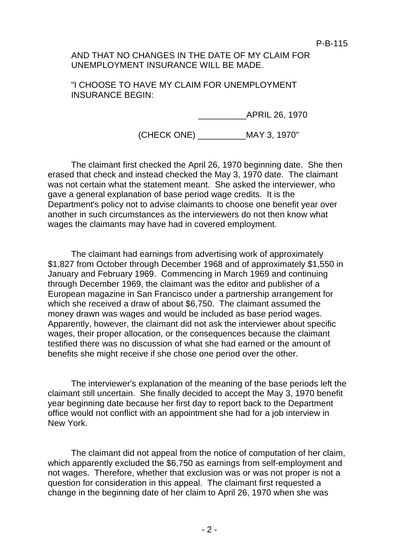P-B-115

## AND THAT NO CHANGES IN THE DATE OF MY CLAIM FOR UNEMPLOYMENT INSURANCE WILL BE MADE.

"I CHOOSE TO HAVE MY CLAIM FOR UNEMPLOYMENT INSURANCE BEGIN:

\_\_\_\_\_\_\_\_\_\_APRIL 26, 1970

(CHECK ONE) \_\_\_\_\_\_\_\_\_\_MAY 3, 1970"

The claimant first checked the April 26, 1970 beginning date. She then erased that check and instead checked the May 3, 1970 date. The claimant was not certain what the statement meant. She asked the interviewer, who gave a general explanation of base period wage credits. It is the Department's policy not to advise claimants to choose one benefit year over another in such circumstances as the interviewers do not then know what wages the claimants may have had in covered employment.

The claimant had earnings from advertising work of approximately \$1,827 from October through December 1968 and of approximately \$1,550 in January and February 1969. Commencing in March 1969 and continuing through December 1969, the claimant was the editor and publisher of a European magazine in San Francisco under a partnership arrangement for which she received a draw of about \$6,750. The claimant assumed the money drawn was wages and would be included as base period wages. Apparently, however, the claimant did not ask the interviewer about specific wages, their proper allocation, or the consequences because the claimant testified there was no discussion of what she had earned or the amount of benefits she might receive if she chose one period over the other.

The interviewer's explanation of the meaning of the base periods left the claimant still uncertain. She finally decided to accept the May 3, 1970 benefit year beginning date because her first day to report back to the Department office would not conflict with an appointment she had for a job interview in New York.

The claimant did not appeal from the notice of computation of her claim, which apparently excluded the \$6,750 as earnings from self-employment and not wages. Therefore, whether that exclusion was or was not proper is not a question for consideration in this appeal. The claimant first requested a change in the beginning date of her claim to April 26, 1970 when she was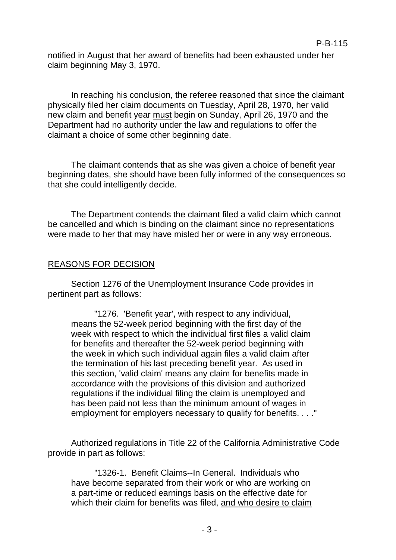notified in August that her award of benefits had been exhausted under her claim beginning May 3, 1970.

In reaching his conclusion, the referee reasoned that since the claimant physically filed her claim documents on Tuesday, April 28, 1970, her valid new claim and benefit year must begin on Sunday, April 26, 1970 and the Department had no authority under the law and regulations to offer the claimant a choice of some other beginning date.

The claimant contends that as she was given a choice of benefit year beginning dates, she should have been fully informed of the consequences so that she could intelligently decide.

The Department contends the claimant filed a valid claim which cannot be cancelled and which is binding on the claimant since no representations were made to her that may have misled her or were in any way erroneous.

# REASONS FOR DECISION

Section 1276 of the Unemployment Insurance Code provides in pertinent part as follows:

"1276. 'Benefit year', with respect to any individual, means the 52-week period beginning with the first day of the week with respect to which the individual first files a valid claim for benefits and thereafter the 52-week period beginning with the week in which such individual again files a valid claim after the termination of his last preceding benefit year. As used in this section, 'valid claim' means any claim for benefits made in accordance with the provisions of this division and authorized regulations if the individual filing the claim is unemployed and has been paid not less than the minimum amount of wages in employment for employers necessary to qualify for benefits. . . ."

Authorized regulations in Title 22 of the California Administrative Code provide in part as follows:

"1326-1. Benefit Claims--In General. Individuals who have become separated from their work or who are working on a part-time or reduced earnings basis on the effective date for which their claim for benefits was filed, and who desire to claim

### P-B-115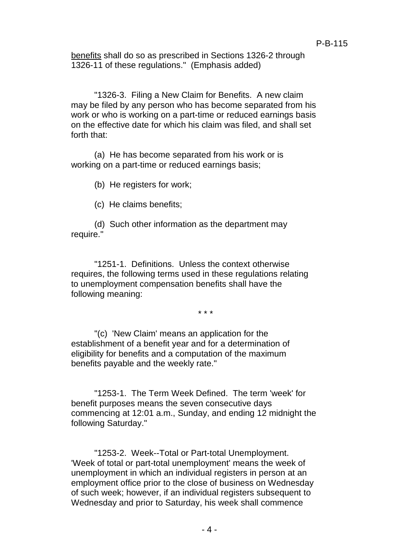benefits shall do so as prescribed in Sections 1326-2 through 1326-11 of these regulations." (Emphasis added)

"1326-3. Filing a New Claim for Benefits. A new claim may be filed by any person who has become separated from his work or who is working on a part-time or reduced earnings basis on the effective date for which his claim was filed, and shall set forth that:

(a) He has become separated from his work or is working on a part-time or reduced earnings basis;

(b) He registers for work;

(c) He claims benefits;

(d) Such other information as the department may require."

"1251-1. Definitions. Unless the context otherwise requires, the following terms used in these regulations relating to unemployment compensation benefits shall have the following meaning:

\* \* \*

"(c) 'New Claim' means an application for the establishment of a benefit year and for a determination of eligibility for benefits and a computation of the maximum benefits payable and the weekly rate."

"1253-1. The Term Week Defined. The term 'week' for benefit purposes means the seven consecutive days commencing at 12:01 a.m., Sunday, and ending 12 midnight the following Saturday."

"1253-2. Week--Total or Part-total Unemployment. 'Week of total or part-total unemployment' means the week of unemployment in which an individual registers in person at an employment office prior to the close of business on Wednesday of such week; however, if an individual registers subsequent to Wednesday and prior to Saturday, his week shall commence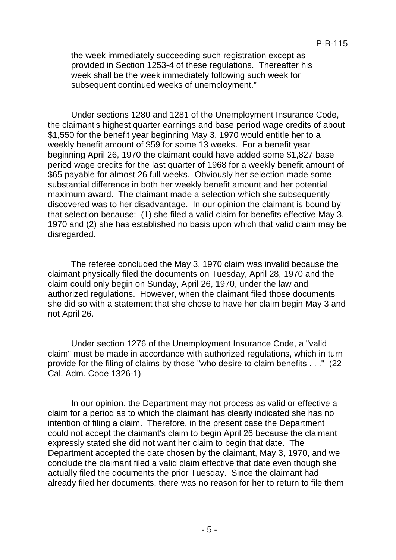the week immediately succeeding such registration except as provided in Section 1253-4 of these regulations. Thereafter his week shall be the week immediately following such week for subsequent continued weeks of unemployment."

Under sections 1280 and 1281 of the Unemployment Insurance Code, the claimant's highest quarter earnings and base period wage credits of about \$1,550 for the benefit year beginning May 3, 1970 would entitle her to a weekly benefit amount of \$59 for some 13 weeks. For a benefit year beginning April 26, 1970 the claimant could have added some \$1,827 base period wage credits for the last quarter of 1968 for a weekly benefit amount of \$65 payable for almost 26 full weeks. Obviously her selection made some substantial difference in both her weekly benefit amount and her potential maximum award. The claimant made a selection which she subsequently discovered was to her disadvantage. In our opinion the claimant is bound by that selection because: (1) she filed a valid claim for benefits effective May 3, 1970 and (2) she has established no basis upon which that valid claim may be disregarded.

The referee concluded the May 3, 1970 claim was invalid because the claimant physically filed the documents on Tuesday, April 28, 1970 and the claim could only begin on Sunday, April 26, 1970, under the law and authorized regulations. However, when the claimant filed those documents she did so with a statement that she chose to have her claim begin May 3 and not April 26.

Under section 1276 of the Unemployment Insurance Code, a "valid claim" must be made in accordance with authorized regulations, which in turn provide for the filing of claims by those "who desire to claim benefits . . ." (22 Cal. Adm. Code 1326-1)

In our opinion, the Department may not process as valid or effective a claim for a period as to which the claimant has clearly indicated she has no intention of filing a claim. Therefore, in the present case the Department could not accept the claimant's claim to begin April 26 because the claimant expressly stated she did not want her claim to begin that date. The Department accepted the date chosen by the claimant, May 3, 1970, and we conclude the claimant filed a valid claim effective that date even though she actually filed the documents the prior Tuesday. Since the claimant had already filed her documents, there was no reason for her to return to file them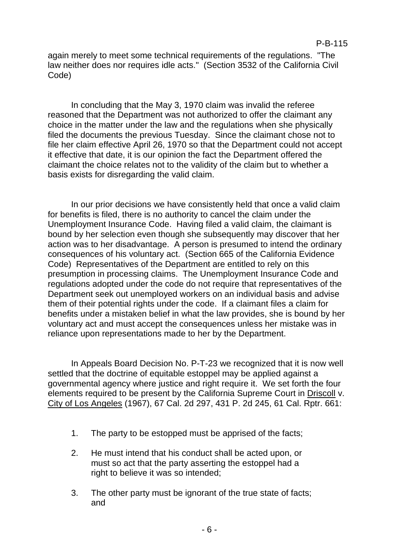again merely to meet some technical requirements of the regulations. "The law neither does nor requires idle acts." (Section 3532 of the California Civil Code)

In concluding that the May 3, 1970 claim was invalid the referee reasoned that the Department was not authorized to offer the claimant any choice in the matter under the law and the regulations when she physically filed the documents the previous Tuesday. Since the claimant chose not to file her claim effective April 26, 1970 so that the Department could not accept it effective that date, it is our opinion the fact the Department offered the claimant the choice relates not to the validity of the claim but to whether a basis exists for disregarding the valid claim.

In our prior decisions we have consistently held that once a valid claim for benefits is filed, there is no authority to cancel the claim under the Unemployment Insurance Code. Having filed a valid claim, the claimant is bound by her selection even though she subsequently may discover that her action was to her disadvantage. A person is presumed to intend the ordinary consequences of his voluntary act. (Section 665 of the California Evidence Code) Representatives of the Department are entitled to rely on this presumption in processing claims. The Unemployment Insurance Code and regulations adopted under the code do not require that representatives of the Department seek out unemployed workers on an individual basis and advise them of their potential rights under the code. If a claimant files a claim for benefits under a mistaken belief in what the law provides, she is bound by her voluntary act and must accept the consequences unless her mistake was in reliance upon representations made to her by the Department.

In Appeals Board Decision No. P-T-23 we recognized that it is now well settled that the doctrine of equitable estoppel may be applied against a governmental agency where justice and right require it. We set forth the four elements required to be present by the California Supreme Court in Driscoll v. City of Los Angeles (1967), 67 Cal. 2d 297, 431 P. 2d 245, 61 Cal. Rptr. 661:

- 1. The party to be estopped must be apprised of the facts;
- 2. He must intend that his conduct shall be acted upon, or must so act that the party asserting the estoppel had a right to believe it was so intended;
- 3. The other party must be ignorant of the true state of facts; and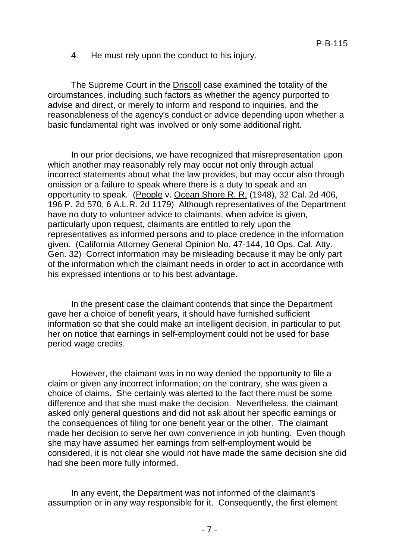4. He must rely upon the conduct to his injury.

The Supreme Court in the Driscoll case examined the totality of the circumstances, including such factors as whether the agency purported to advise and direct, or merely to inform and respond to inquiries, and the reasonableness of the agency's conduct or advice depending upon whether a basic fundamental right was involved or only some additional right.

In our prior decisions, we have recognized that misrepresentation upon which another may reasonably rely may occur not only through actual incorrect statements about what the law provides, but may occur also through omission or a failure to speak where there is a duty to speak and an opportunity to speak. (People v. Ocean Shore R. R. (1948), 32 Cal. 2d 406, 196 P. 2d 570, 6 A.L.R. 2d 1179) Although representatives of the Department have no duty to volunteer advice to claimants, when advice is given, particularly upon request, claimants are entitled to rely upon the representatives as informed persons and to place credence in the information given. (California Attorney General Opinion No. 47-144, 10 Ops. Cal. Atty. Gen. 32) Correct information may be misleading because it may be only part of the information which the claimant needs in order to act in accordance with his expressed intentions or to his best advantage.

In the present case the claimant contends that since the Department gave her a choice of benefit years, it should have furnished sufficient information so that she could make an intelligent decision, in particular to put her on notice that earnings in self-employment could not be used for base period wage credits.

However, the claimant was in no way denied the opportunity to file a claim or given any incorrect information; on the contrary, she was given a choice of claims. She certainly was alerted to the fact there must be some difference and that she must make the decision. Nevertheless, the claimant asked only general questions and did not ask about her specific earnings or the consequences of filing for one benefit year or the other. The claimant made her decision to serve her own convenience in job hunting. Even though she may have assumed her earnings from self-employment would be considered, it is not clear she would not have made the same decision she did had she been more fully informed.

In any event, the Department was not informed of the claimant's assumption or in any way responsible for it. Consequently, the first element